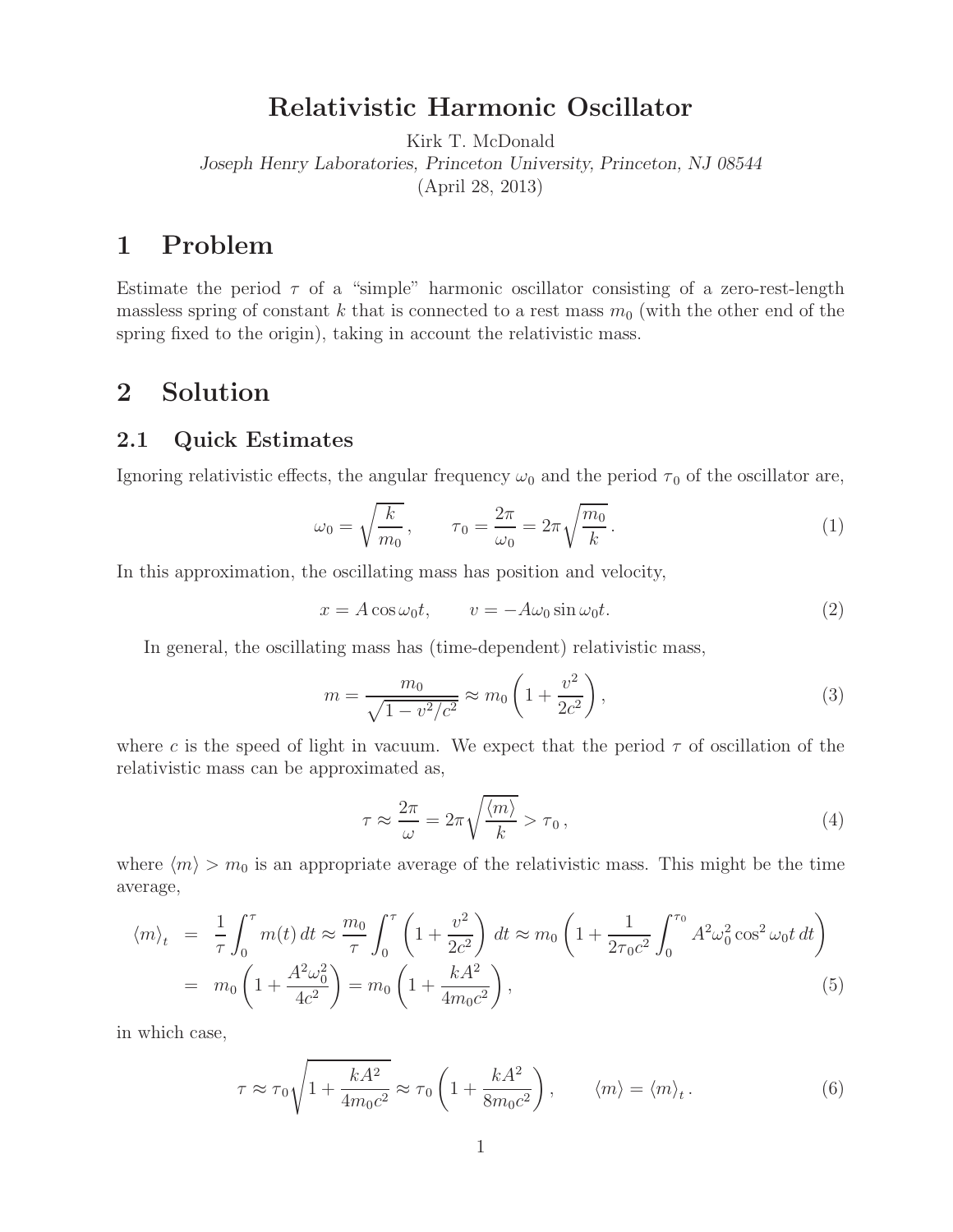# **Relativistic Harmonic Oscillator**

Kirk T. McDonald *Joseph Henry Laboratories, Princeton University, Princeton, NJ 08544* (April 28, 2013)

## **1 Problem**

Estimate the period  $\tau$  of a "simple" harmonic oscillator consisting of a zero-rest-length massless spring of constant k that is connected to a rest mass  $m_0$  (with the other end of the spring fixed to the origin), taking in account the relativistic mass.

### **2 Solution**

#### **2.1 Quick Estimates**

Ignoring relativistic effects, the angular frequency  $\omega_0$  and the period  $\tau_0$  of the oscillator are,

$$
\omega_0 = \sqrt{\frac{k}{m_0}}, \qquad \tau_0 = \frac{2\pi}{\omega_0} = 2\pi \sqrt{\frac{m_0}{k}}.
$$
\n
$$
(1)
$$

In this approximation, the oscillating mass has position and velocity,

$$
x = A\cos\omega_0 t, \qquad v = -A\omega_0 \sin\omega_0 t. \tag{2}
$$

In general, the oscillating mass has (time-dependent) relativistic mass,

$$
m = \frac{m_0}{\sqrt{1 - v^2/c^2}} \approx m_0 \left( 1 + \frac{v^2}{2c^2} \right),\tag{3}
$$

where c is the speed of light in vacuum. We expect that the period  $\tau$  of oscillation of the relativistic mass can be approximated as,

$$
\tau \approx \frac{2\pi}{\omega} = 2\pi \sqrt{\frac{\langle m \rangle}{k}} > \tau_0, \qquad (4)
$$

where  $\langle m \rangle > m_0$  is an appropriate average of the relativistic mass. This might be the time average,

$$
\langle m \rangle_t = \frac{1}{\tau} \int_0^{\tau} m(t) dt \approx \frac{m_0}{\tau} \int_0^{\tau} \left( 1 + \frac{v^2}{2c^2} \right) dt \approx m_0 \left( 1 + \frac{1}{2\tau_0 c^2} \int_0^{\tau_0} A^2 \omega_0^2 \cos^2 \omega_0 t \, dt \right)
$$
  
=  $m_0 \left( 1 + \frac{A^2 \omega_0^2}{4c^2} \right) = m_0 \left( 1 + \frac{kA^2}{4m_0 c^2} \right),$  (5)

in which case,

$$
\tau \approx \tau_0 \sqrt{1 + \frac{kA^2}{4m_0 c^2}} \approx \tau_0 \left( 1 + \frac{kA^2}{8m_0 c^2} \right), \qquad \langle m \rangle = \langle m \rangle_t. \tag{6}
$$